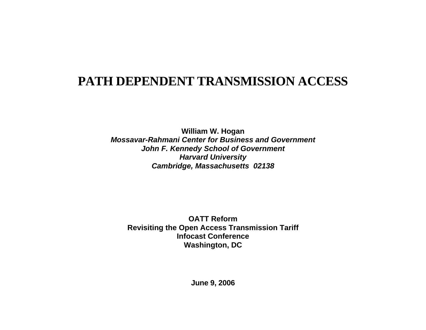# **PATH DEPENDENT TRANSMISSION ACCESS**

**William W. Hogan**  *Mossavar-Rahmani Center for Business and Government John F. Kennedy School of Government Harvard University Cambridge, Massachusetts 02138*

**OATT Reform Revisiting the Open Access Transmission Tariff Infocast Conference Washington, DC** 

 **June 9, 2006**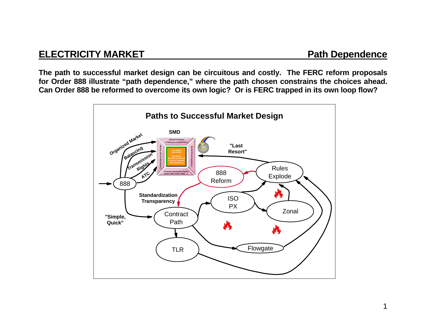# **ELECTRICITY MARKET Path Dependence**

**The path to successful market design can be circuitous and costly. The FERC reform proposals for Order 888 illustrate "path dependence," where the path chosen constrains the choices ahead. Can Order 888 be reformed to overcome its own logic? Or is FERC trapped in its own loop flow?** 

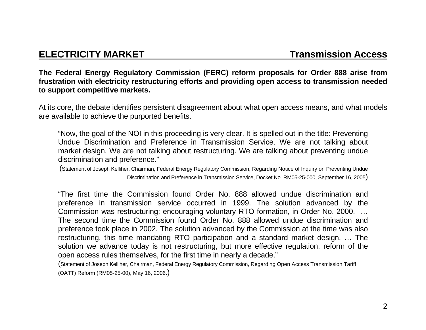**The Federal Energy Regulatory Commission (FERC) reform proposals for Order 888 arise from frustration with electricity restructuring efforts and providing open access to transmission needed to support competitive markets.** 

At its core, the debate identifies persistent disagreement about what open access means, and what models are available to achieve the purported benefits.

"Now, the goal of the NOI in this proceeding is very clear. It is spelled out in the title: Preventing Undue Discrimination and Preference in Transmission Service. We are not talking about market design. We are not talking about restructuring. We are talking about preventing undue discrimination and preference."

(Statement of Joseph Kelliher, Chairman, Federal Energy Regulatory Commission, Regarding Notice of Inquiry on Preventing Undue Discrimination and Preference in Transmission Service, Docket No. RM05-25-000, September 16, 2005)

"The first time the Commission found Order No. 888 allowed undue discrimination and preference in transmission service occurred in 1999. The solution advanced by the Commission was restructuring: encouraging voluntary RTO formation, in Order No. 2000. … The second time the Commission found Order No. 888 allowed undue discrimination and preference took place in 2002. The solution advanced by the Commission at the time was also restructuring, this time mandating RTO participation and a standard market design. … The solution we advance today is not restructuring, but more effective regulation, reform of the open access rules themselves, for the first time in nearly a decade."

(Statement of Joseph Kelliher, Chairman, Federal Energy Regulatory Commission, Regarding Open Access Transmission Tariff (OATT) Reform (RM05-25-00), May 16, 2006.)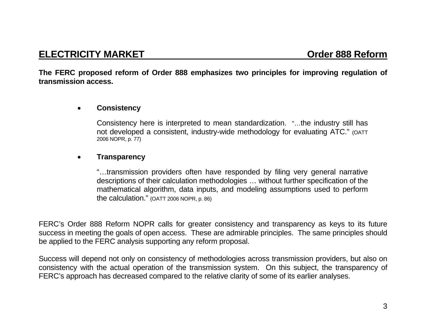**The FERC proposed reform of Order 888 emphasizes two principles for improving regulation of transmission access.** 

#### •**Consistency**

Consistency here is interpreted to mean standardization. "…the industry still has not developed a consistent, industry-wide methodology for evaluating ATC." (OATT 2006 NOPR, p. 77)

#### $\bullet$ **Transparency**

"…transmission providers often have responded by filing very general narrative descriptions of their calculation methodologies … without further specification of the mathematical algorithm, data inputs, and modeling assumptions used to perform the calculation." (OATT 2006 NOPR, p. 86)

FERC's Order 888 Reform NOPR calls for greater consistency and transparency as keys to its future success in meeting the goals of open access. These are admirable principles. The same principles should be applied to the FERC analysis supporting any reform proposal.

Success will depend not only on consistency of methodologies across transmission providers, but also on consistency with the actual operation of the transmission system. On this subject, the transparency of FERC's approach has decreased compared to the relative clarity of some of its earlier analyses.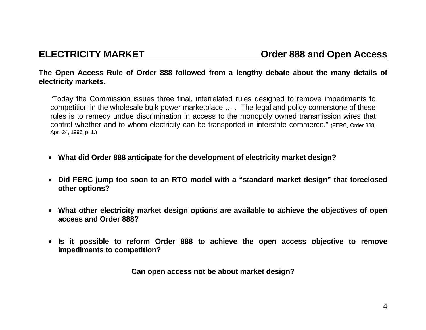#### **The Open Access Rule of Order 888 followed from a lengthy debate about the many details of electricity markets.**

"Today the Commission issues three final, interrelated rules designed to remove impediments to competition in the wholesale bulk power marketplace … . The legal and policy cornerstone of these rules is to remedy undue discrimination in access to the monopoly owned transmission wires that control whether and to whom electricity can be transported in interstate commerce." (FERC, Order 888, April 24, 1996, p. 1.)

- **What did Order 888 anticipate for the development of electricity market design?**
- **Did FERC jump too soon to an RTO model with a "standard market design" that foreclosed other options?**
- **What other electricity market design options are available to achieve the objectives of open access and Order 888?**
- **Is it possible to reform Order 888 to achieve the open access objective to remove impediments to competition?**

**Can open access not be about market design?**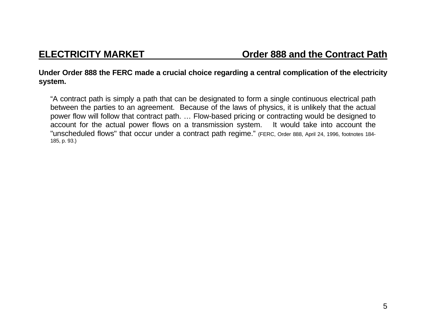#### **Under Order 888 the FERC made a crucial choice regarding a central complication of the electricity system.**

"A contract path is simply a path that can be designated to form a single continuous electrical path between the parties to an agreement. Because of the laws of physics, it is unlikely that the actual power flow will follow that contract path. … Flow-based pricing or contracting would be designed to account for the actual power flows on a transmission system. It would take into account the "unscheduled flows" that occur under a contract path regime." (FERC, Order 888, April 24, 1996, footnotes 184- 185, p. 93.)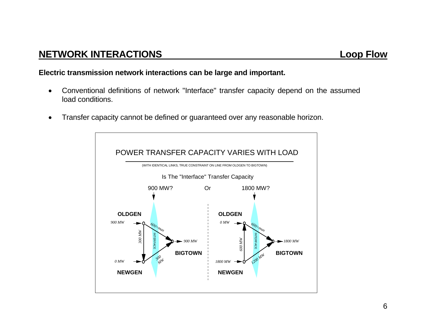#### **Electric transmission network interactions can be large and important.**

- Conventional definitions of network "Interface" transfer capacity depend on the assumed load conditions.
- Transfer capacity cannot be defined or guaranteed over any reasonable horizon.

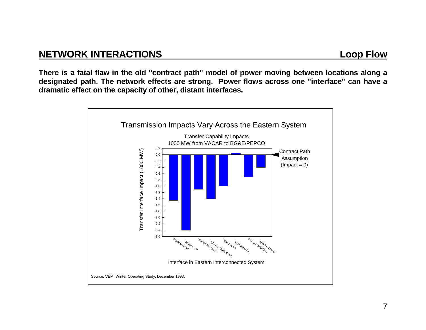# **NETWORK INTERACTIONS Loop Flow**

**There is a fatal flaw in the old "contract path" model of power moving between locations along a designated path. The network effects are strong. Power flows across one "interface" can have a dramatic effect on the capacity of other, distant interfaces.**

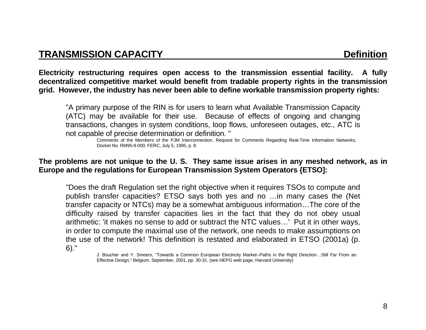**Electricity restructuring requires open access to the transmission essential facility. A fully decentralized competitive market would benefit from tradable property rights in the transmission grid. However, the industry has never been able to define workable transmission property rights:** 

 "A primary purpose of the RIN is for users to learn what Available Transmission Capacity (ATC) may be available for their use. Because of effects of ongoing and changing transactions, changes in system conditions, loop flows, unforeseen outages, etc., ATC is not capable of precise determination or definition. "

 Comments of the Members of the PJM Interconnection, Request for Comments Regarding Real-Time Information Networks, Docket No. RM95-9-000, FERC, July 5, 1995, p. 8.

#### **The problems are not unique to the U. S. They same issue arises in any meshed network, as in Europe and the regulations for European Transmission System Operators {ETSO]:**

"Does the draft Regulation set the right objective when it requires TSOs to compute and publish transfer capacities? ETSO says both yes and no …in many cases the (Net transfer capacity or NTCs) may be a somewhat ambiguous information…The core of the difficulty raised by transfer capacities lies in the fact that they do not obey usual arithmetic: 'it makes no sense to add or subtract the NTC values…' Put it in other ways, in order to compute the maximal use of the network, one needs to make assumptions on the use of the network! This definition is restated and elaborated in ETSO (2001a) (p. 6)."

 J. Boucher and Y. Smeers, "Towards a Common European Electricity Market--Paths in the Right Direction…Still Far From an Effective Design," Belgium. September, 2001, pp. 30-31. (see HEPG web page, Harvard University)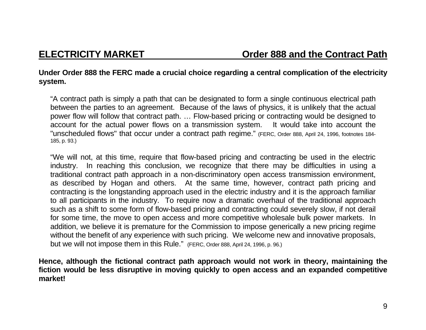#### **Under Order 888 the FERC made a crucial choice regarding a central complication of the electricity system.**

"A contract path is simply a path that can be designated to form a single continuous electrical path between the parties to an agreement. Because of the laws of physics, it is unlikely that the actual power flow will follow that contract path. … Flow-based pricing or contracting would be designed to account for the actual power flows on a transmission system. It would take into account the "unscheduled flows" that occur under a contract path regime." (FERC, Order 888, April 24, 1996, footnotes 184- 185, p. 93.)

"We will not, at this time, require that flow-based pricing and contracting be used in the electric industry. In reaching this conclusion, we recognize that there may be difficulties in using a traditional contract path approach in a non-discriminatory open access transmission environment, as described by Hogan and others. At the same time, however, contract path pricing and contracting is the longstanding approach used in the electric industry and it is the approach familiar to all participants in the industry. To require now a dramatic overhaul of the traditional approach such as a shift to some form of flow-based pricing and contracting could severely slow, if not derail for some time, the move to open access and more competitive wholesale bulk power markets. In addition, we believe it is premature for the Commission to impose generically a new pricing regime without the benefit of any experience with such pricing. We welcome new and innovative proposals, but we will not impose them in this Rule." (FERC, Order 888, April 24, 1996, p. 96.)

**Hence, although the fictional contract path approach would not work in theory, maintaining the fiction would be less disruptive in moving quickly to open access and an expanded competitive market!**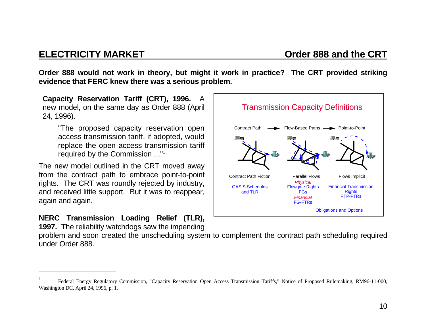# **ELECTRICITY MARKET CONSUMING A CONSUMING CONSUMING A CONSUMING A CRT**

**Order 888 would not work in theory, but might it work in practice? The CRT provided striking evidence that FERC knew there was a serious problem.** 

**Capacity Reservation Tariff (CRT), 1996.** A new model, on the same day as Order 888 (April 24, 1996).

"The proposed capacity reservation open access transmission tariff, if adopted, would replace the open access transmission tariff required by the Commission ..."<sup>1</sup>

The new model outlined in the CRT moved away from the contract path to embrace point-to-point rights. The CRT was roundly rejected by industry, and received little support. But it was to reappear, again and again.

# **NERC Transmission Loading Relief (TLR),**

**1997.** The reliability watchdogs saw the impending



problem and soon created the unscheduling system to complement the contract path scheduling required under Order 888.

<sup>1</sup> Federal Energy Regulatory Commission, "Capacity Reservation Open Access Transmission Tariffs," Notice of Proposed Rulemaking, RM96-11-000, Washington DC, April 24, 1996, p. 1.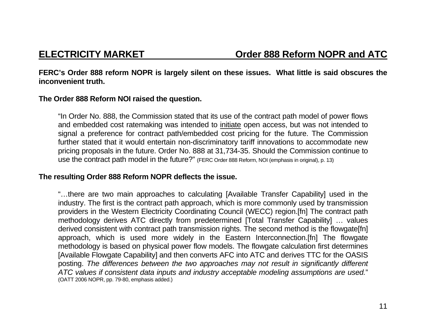**FERC's Order 888 reform NOPR is largely silent on these issues. What little is said obscures the inconvenient truth.**

#### **The Order 888 Reform NOI raised the question.**

"In Order No. 888, the Commission stated that its use of the contract path model of power flows and embedded cost ratemaking was intended to initiate open access, but was not intended to signal a preference for contract path/embedded cost pricing for the future. The Commission further stated that it would entertain non-discriminatory tariff innovations to accommodate new pricing proposals in the future. Order No. 888 at 31,734-35. Should the Commission continue to use the contract path model in the future?" (FERC Order 888 Reform, NOI (emphasis in original), p. 13)

#### **The resulting Order 888 Reform NOPR deflects the issue.**

"…there are two main approaches to calculating [Available Transfer Capability] used in the industry. The first is the contract path approach, which is more commonly used by transmission providers in the Western Electricity Coordinating Council (WECC) region.[fn] The contract path methodology derives ATC directly from predetermined [Total Transfer Capability] … values derived consistent with contract path transmission rights. The second method is the flowgate[fn] approach, which is used more widely in the Eastern Interconnection.[fn] The flowgate methodology is based on physical power flow models. The flowgate calculation first determines [Available Flowgate Capability] and then converts AFC into ATC and derives TTC for the OASIS posting. *The differences between the two approaches may not result in significantly different ATC values if consistent data inputs and industry acceptable modeling assumptions are used.*" (OATT 2006 NOPR, pp. 79-80, emphasis added.)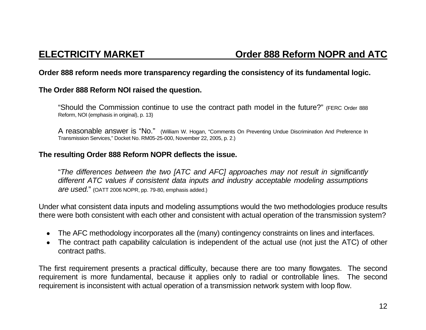# **ELECTRICITY MARKET Order 888 Reform NOPR and ATC**

#### **Order 888 reform needs more transparency regarding the consistency of its fundamental logic.**

#### **The Order 888 Reform NOI raised the question.**

"Should the Commission continue to use the contract path model in the future?" (FERC Order 888 Reform, NOI (emphasis in original), p. 13)

A reasonable answer is "No." (William W. Hogan, "Comments On Preventing Undue Discrimination And Preference In Transmission Services," Docket No. RM05-25-000, November 22, 2005, p. 2.)

#### **The resulting Order 888 Reform NOPR deflects the issue.**

"*The differences between the two [ATC and AFC] approaches may not result in significantly different ATC values if consistent data inputs and industry acceptable modeling assumptions are used.*" (OATT 2006 NOPR, pp. 79-80, emphasis added.)

Under what consistent data inputs and modeling assumptions would the two methodologies produce results there were both consistent with each other and consistent with actual operation of the transmission system?

- The AFC methodology incorporates all the (many) contingency constraints on lines and interfaces.
- • The contract path capability calculation is independent of the actual use (not just the ATC) of other contract paths.

The first requirement presents a practical difficulty, because there are too many flowgates. The second requirement is more fundamental, because it applies only to radial or controllable lines. The second requirement is inconsistent with actual operation of a transmission network system with loop flow.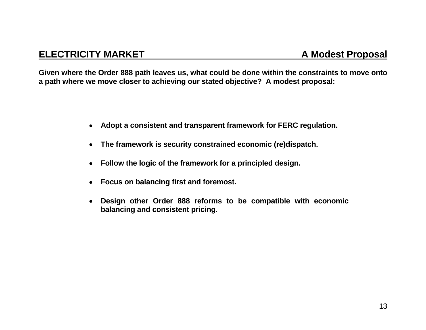# **ELECTRICITY MARKET A Modest Proposal**

**Given where the Order 888 path leaves us, what could be done within the constraints to move onto a path where we move closer to achieving our stated objective? A modest proposal:** 

- • **Adopt a consistent and transparent framework for FERC regulation.**
- • **The framework is security constrained economic (re)dispatch.**
- • **Follow the logic of the framework for a principled design.**
- • **Focus on balancing first and foremost.**
- • **Design other Order 888 reforms to be compatible with economic balancing and consistent pricing.**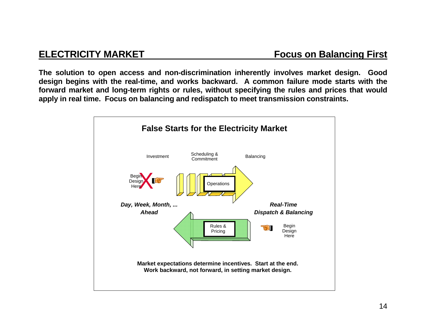**The solution to open access and non-discrimination inherently involves market design. Good design begins with the real-time, and works backward. A common failure mode starts with the forward market and long-term rights or rules, without specifying the rules and prices that would apply in real time. Focus on balancing and redispatch to meet transmission constraints.** 

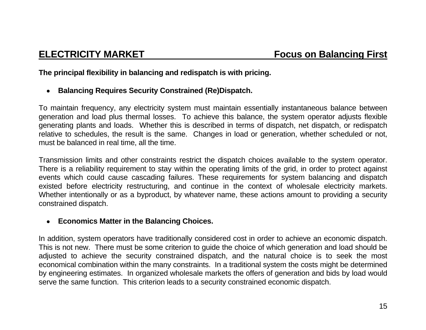## **The principal flexibility in balancing and redispatch is with pricing.**

• **Balancing Requires Security Constrained (Re)Dispatch.**

To maintain frequency, any electricity system must maintain essentially instantaneous balance between generation and load plus thermal losses. To achieve this balance, the system operator adjusts flexible generating plants and loads. Whether this is described in terms of dispatch, net dispatch, or redispatch relative to schedules, the result is the same. Changes in load or generation, whether scheduled or not, must be balanced in real time, all the time.

Transmission limits and other constraints restrict the dispatch choices available to the system operator. There is a reliability requirement to stay within the operating limits of the grid, in order to protect against events which could cause cascading failures. These requirements for system balancing and dispatch existed before electricity restructuring, and continue in the context of wholesale electricity markets. Whether intentionally or as a byproduct, by whatever name, these actions amount to providing a security constrained dispatch.

### • **Economics Matter in the Balancing Choices.**

In addition, system operators have traditionally considered cost in order to achieve an economic dispatch. This is not new. There must be some criterion to guide the choice of which generation and load should be adjusted to achieve the security constrained dispatch, and the natural choice is to seek the most economical combination within the many constraints. In a traditional system the costs might be determined by engineering estimates. In organized wholesale markets the offers of generation and bids by load would serve the same function. This criterion leads to a security constrained economic dispatch.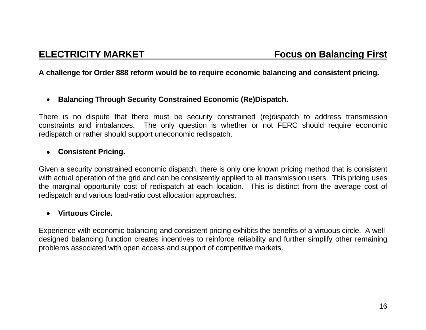**A challenge for Order 888 reform would be to require economic balancing and consistent pricing.** 

### • **Balancing Through Security Constrained Economic (Re)Dispatch.**

There is no dispute that there must be security constrained (re)dispatch to address transmission constraints and imbalances. The only question is whether or not FERC should require economic redispatch or rather should support uneconomic redispatch.

## • **Consistent Pricing.**

Given a security constrained economic dispatch, there is only one known pricing method that is consistent with actual operation of the grid and can be consistently applied to all transmission users. This pricing uses the marginal opportunity cost of redispatch at each location. This is distinct from the average cost of redispatch and various load-ratio cost allocation approaches.

### • **Virtuous Circle.**

Experience with economic balancing and consistent pricing exhibits the benefits of a virtuous circle. A welldesigned balancing function creates incentives to reinforce reliability and further simplify other remaining problems associated with open access and support of competitive markets.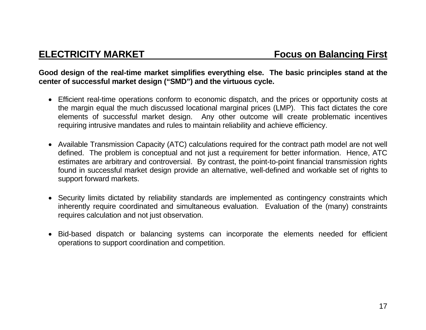### **Good design of the real-time market simplifies everything else. The basic principles stand at the center of successful market design ("SMD") and the virtuous cycle.**

- Efficient real-time operations conform to economic dispatch, and the prices or opportunity costs at the margin equal the much discussed locational marginal prices (LMP). This fact dictates the core elements of successful market design. Any other outcome will create problematic incentives requiring intrusive mandates and rules to maintain reliability and achieve efficiency.
- Available Transmission Capacity (ATC) calculations required for the contract path model are not well defined. The problem is conceptual and not just a requirement for better information. Hence, ATC estimates are arbitrary and controversial. By contrast, the point-to-point financial transmission rights found in successful market design provide an alternative, well-defined and workable set of rights to support forward markets.
- Security limits dictated by reliability standards are implemented as contingency constraints which inherently require coordinated and simultaneous evaluation. Evaluation of the (many) constraints requires calculation and not just observation.
- Bid-based dispatch or balancing systems can incorporate the elements needed for efficient operations to support coordination and competition.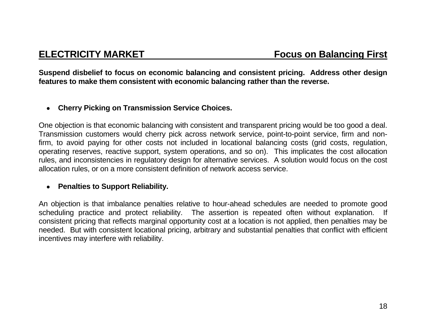**Suspend disbelief to focus on economic balancing and consistent pricing. Address other design features to make them consistent with economic balancing rather than the reverse.** 

## • **Cherry Picking on Transmission Service Choices.**

One objection is that economic balancing with consistent and transparent pricing would be too good a deal. Transmission customers would cherry pick across network service, point-to-point service, firm and nonfirm, to avoid paying for other costs not included in locational balancing costs (grid costs, regulation, operating reserves, reactive support, system operations, and so on). This implicates the cost allocation rules, and inconsistencies in regulatory design for alternative services. A solution would focus on the cost allocation rules, or on a more consistent definition of network access service.

### • **Penalties to Support Reliability.**

An objection is that imbalance penalties relative to hour-ahead schedules are needed to promote good scheduling practice and protect reliability. The assertion is repeated often without explanation. If consistent pricing that reflects marginal opportunity cost at a location is not applied, then penalties may be needed. But with consistent locational pricing, arbitrary and substantial penalties that conflict with efficient incentives may interfere with reliability.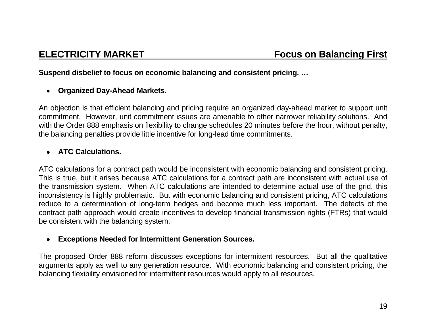**Suspend disbelief to focus on economic balancing and consistent pricing. …** 

### • **Organized Day-Ahead Markets.**

An objection is that efficient balancing and pricing require an organized day-ahead market to support unit commitment. However, unit commitment issues are amenable to other narrower reliability solutions. And with the Order 888 emphasis on flexibility to change schedules 20 minutes before the hour, without penalty, the balancing penalties provide little incentive for long-lead time commitments.

### • **ATC Calculations.**

ATC calculations for a contract path would be inconsistent with economic balancing and consistent pricing. This is true, but it arises because ATC calculations for a contract path are inconsistent with actual use of the transmission system. When ATC calculations are intended to determine actual use of the grid, this inconsistency is highly problematic. But with economic balancing and consistent pricing, ATC calculations reduce to a determination of long-term hedges and become much less important. The defects of the contract path approach would create incentives to develop financial transmission rights (FTRs) that would be consistent with the balancing system.

### • **Exceptions Needed for Intermittent Generation Sources.**

The proposed Order 888 reform discusses exceptions for intermittent resources. But all the qualitative arguments apply as well to any generation resource. With economic balancing and consistent pricing, the balancing flexibility envisioned for intermittent resources would apply to all resources.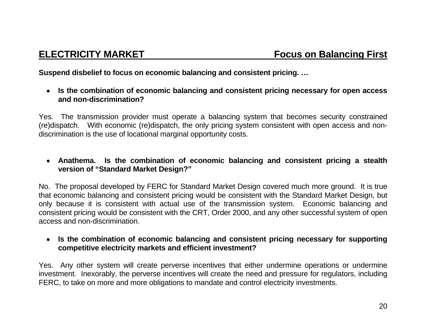**Suspend disbelief to focus on economic balancing and consistent pricing. …** 

• **Is the combination of economic balancing and consistent pricing necessary for open access and non-discrimination?** 

Yes. The transmission provider must operate a balancing system that becomes security constrained (re)dispatch. With economic (re)dispatch, the only pricing system consistent with open access and nondiscrimination is the use of locational marginal opportunity costs.

• **Anathema. Is the combination of economic balancing and consistent pricing a stealth version of "Standard Market Design?"** 

No. The proposal developed by FERC for Standard Market Design covered much more ground. It is true that economic balancing and consistent pricing would be consistent with the Standard Market Design, but only because it is consistent with actual use of the transmission system. Economic balancing and consistent pricing would be consistent with the CRT, Order 2000, and any other successful system of open access and non-discrimination.

• **Is the combination of economic balancing and consistent pricing necessary for supporting competitive electricity markets and efficient investment?** 

Yes. Any other system will create perverse incentives that either undermine operations or undermine investment. Inexorably, the perverse incentives will create the need and pressure for regulators, including FERC, to take on more and more obligations to mandate and control electricity investments.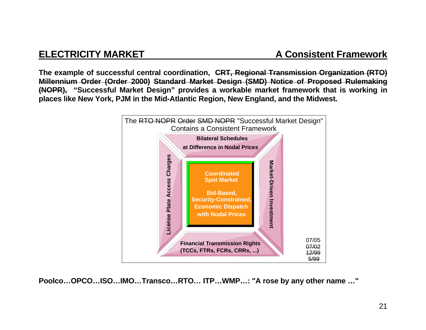**The example of successful central coordination, CRT, Regional Transmission Organization (RTO) Millennium Order (Order 2000) Standard Market Design (SMD) Notice of Proposed Rulemaking (NOPR), "Successful Market Design" provides a workable market framework that is working in places like New York, PJM in the Mid-Atlantic Region, New England, and the Midwest.** 



**Poolco…OPCO…ISO…IMO…Transco…RTO… ITP…WMP…: "A rose by any other name …"**